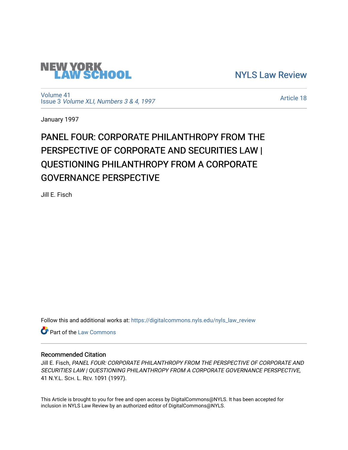

[NYLS Law Review](https://digitalcommons.nyls.edu/nyls_law_review) 

[Volume 41](https://digitalcommons.nyls.edu/nyls_law_review/vol41) Issue 3 [Volume XLI, Numbers 3 & 4, 1997](https://digitalcommons.nyls.edu/nyls_law_review/vol41/iss3)

[Article 18](https://digitalcommons.nyls.edu/nyls_law_review/vol41/iss3/18) 

January 1997

# PANEL FOUR: CORPORATE PHILANTHROPY FROM THE PERSPECTIVE OF CORPORATE AND SECURITIES LAW I QUESTIONING PHILANTHROPY FROM A CORPORATE GOVERNANCE PERSPECTIVE

Jill E. Fisch

Follow this and additional works at: [https://digitalcommons.nyls.edu/nyls\\_law\\_review](https://digitalcommons.nyls.edu/nyls_law_review?utm_source=digitalcommons.nyls.edu%2Fnyls_law_review%2Fvol41%2Fiss3%2F18&utm_medium=PDF&utm_campaign=PDFCoverPages) 

Part of the [Law Commons](https://network.bepress.com/hgg/discipline/578?utm_source=digitalcommons.nyls.edu%2Fnyls_law_review%2Fvol41%2Fiss3%2F18&utm_medium=PDF&utm_campaign=PDFCoverPages)

## Recommended Citation

Jill E. Fisch, PANEL FOUR: CORPORATE PHILANTHROPY FROM THE PERSPECTIVE OF CORPORATE AND SECURITIES LAW | QUESTIONING PHILANTHROPY FROM A CORPORATE GOVERNANCE PERSPECTIVE, 41 N.Y.L. SCH. L. REV. 1091 (1997).

This Article is brought to you for free and open access by DigitalCommons@NYLS. It has been accepted for inclusion in NYLS Law Review by an authorized editor of DigitalCommons@NYLS.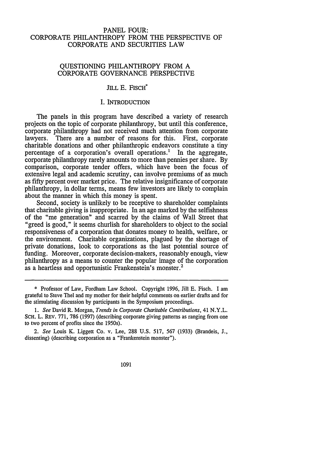### PANEL FOUR: CORPORATE PHILANTHROPY FROM THE PERSPECTIVE OF CORPORATE AND SECURITIES LAW

#### QUESTIONING PHILANTHROPY FROM A CORPORATE GOVERNANCE PERSPECTIVE

## JILL E. FISCH<sup>\*</sup>

#### I. INTRODUCTION

The panels in this program have described a variety of research projects on the topic of corporate philanthropy, but until this conference, corporate philanthropy had not received much attention from corporate lawyers. There are a number of reasons for this. First, corporate charitable donations and other philanthropic endeavors constitute a tiny percentage of a corporation's overall operations.' In the aggregate, corporate philanthropy rarely amounts to more than pennies per share. By comparison, corporate tender offers, which have been the focus of extensive legal and academic scrutiny, can involve premiums of as much as fifty percent over market price. The relative insignificance of corporate philanthropy, in dollar terms, means few investors are likely to complain about the manner in which this money is spent.

Second, society is unlikely to be receptive to shareholder complaints that charitable giving is inappropriate. In an age marked by the selfishness of the "me generation" and scarred by the claims of Wall Street that "greed is good," it seems churlish for shareholders to object to the social responsiveness of a corporation that donates money to health, welfare, or the environment. Charitable organizations, plagued by the shortage of private donations, look to corporations as the last potential source of funding. Moreover, corporate decision-makers, reasonably enough, view philanthropy as a means to counter the popular image of the corporation as a heartless and opportunistic Frankenstein's monster.<sup>2</sup>

<sup>\*</sup> Professor of Law, Fordham Law School. Copyright 1996, Jill **E.** Fisch. I am grateful to Steve Thel and my mother for their helpful comments on earlier drafts and for the stimulating discussion by participants in the Symposium proceedings.

*<sup>1.</sup> See* David R. Morgan, *Trends in Corporate Charitable Contributions,* 41 N.Y.L. **SCH.** L. REV. 771, 786 (1997) (describing corporate giving patterns as ranging from one to two percent of profits since the 1950s).

*<sup>2.</sup> See* Louis K. Liggett Co. v. Lee, 288 U.S. 517, 567 (1933) (Brandeis, J., dissenting) (describing corporation as a "Frankenstein monster").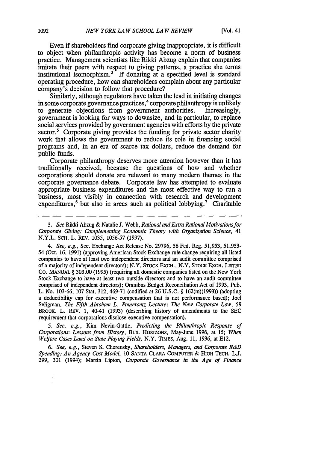Even if shareholders find corporate giving inappropriate, it is difficult to object when philanthropic activity has become a norm of business practice. Management scientists like Rikki Abzug explain that companies imitate their peers with respect to giving patterns, a practice she terms institutional isomorphism.<sup>3</sup> If donating at a specified level is standard operating procedure, how can shareholders complain about any particular company's decision to follow that procedure?

Similarly, although regulators have taken the lead in initiating changes in some corporate governance practices,  $4$  corporate philanthropy is unlikely to generate objections from government authorities. Increasingly, to generate objections from government authorities. government is looking for ways to downsize, and in particular, to replace social services provided by government agencies with efforts by the private sector.<sup>5</sup> Corporate giving provides the funding for private sector charity work that allows the government to reduce its role in financing social programs and, in an era of scarce tax dollars, reduce the demand for public funds.

Corporate philanthropy deserves more attention however than it has traditionally received, because the questions of how and whether corporations should donate are relevant to many modern themes in the corporate governance debate. Corporate law has attempted to evaluate appropriate business expenditures and the most effective way to run a business, most visibly in connection with research and development expenditures,<sup>6</sup> but also in areas such as political lobbying.<sup>7</sup> Charitable

*4. See, e.g.,* Sec. Exchange Act Release No. 29796, 56 Fed. Reg. 51,953, 51,953- 54 (Oct. 16, 1991) (approving American Stock Exchange rule change requiring all listed companies to have at least two independent directors and an audit committee comprised of a majority of independent directors); N.Y. **STOCK** EXCH., N.Y. STOCK EXCH. **LISTED** CO. **MANUAL** § 303.00 (1995) (requiring all domestic companies listed on the New York Stock Exchange to have at least two outside directors and to have an audit committee comprised of independent directors); Omnibus Budget Reconciliation Act of 1993, Pub. L. No. 103-66, 107 Stat. 312, 469-71 (codified at **26** U.S.C. § 162(m)(1993)) (adopting a deductibility cap for executive compensation that is not performance based); Joel Seligman, *The Fifth Abraham L. Pomerantz Lecture: The New Corporate Law, 59* BROOK. L. REV. 1, 40-41 (1993) (describing history of amendments to the **SEC** requirement that corporations disclose executive compensation).

*5. See, e.g.,* Kim Nevin-Gattle, *Predicting the Philanthropic Response of Corporations: Lessons from History,* Bus. HORIZONS, May-June 1996, at *15; When Welfare Cases Land on State Playing Fields,* N.Y. TIMES, Aug. 11, 1996, at **E12.**

*6. See, e.g.,* Steven S. Cherensky, *Shareholders, Managers, and Corporate R&D Spending: An Agency Cost Model,* 10 **SANTA** CLARA COMPUTER & **HIGH TECH.** L.J. 299, 301 (1994); Martin Lipton, *Corporate Governance in the Age of Finance*

<sup>3.</sup> *See* Rikki Abzug & Natalie J. Webb, *Rational and Extra-Rational Motivations for Corporate Giving: Complementing Economic Theory with Organization Science,* 41 N.Y.L. SCH. L. REv. 1035, 1056-57 **(1997).**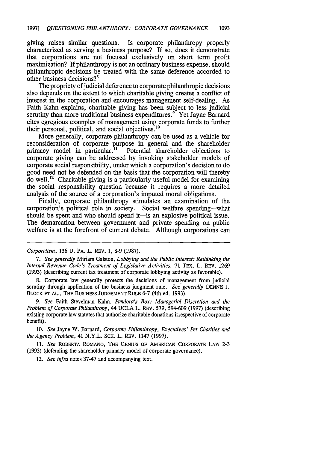giving raises similar questions. Is corporate philanthropy properly characterized as serving a business purpose? If so, does it demonstrate that corporations are not focused exclusively on short term profit maximization? If philanthropy is not an ordinary business expense, should philanthropic decisions be treated with the same deference accorded to other business decisions?8

The propriety of judicial deference to corporate philanthropic decisions also depends on the extent to which charitable giving creates a conflict of interest in the corporation and encourages management self-dealing. As Faith Kahn explains, charitable giving has been subject to less judicial scrutiny than more traditional business expenditures.<sup>9</sup> Yet Jayne Barnard cites egregious examples of management using corporate funds to further their personal, political, and social objectives.<sup>10</sup>

More generally, corporate philanthropy can be used as a vehicle for reconsideration of corporate purpose in general and the shareholder primacy model in particular.<sup>11</sup> Potential shareholder objections to corporate giving can be addressed by invoking stakeholder models of corporate social responsibility, under which a corporation's decision to do good need not be defended on the basis that the corporation will thereby do well.<sup>12</sup> Charitable giving is a particularly useful model for examining the social responsibility question because it requires a more detailed analysis of the source of a corporation's imputed moral obligations.

Finally, corporate philanthropy stimulates an examination of the corporation's political role in society. Social welfare spending-what should be spent and who should spend it—is an explosive political issue. The demarcation between government and private spending on public welfare is at the forefront of current debate. Although corporations can

Corporatism, **136** U. PA. L. REv. 1, 8-9 (1987).

*7.* See generally Miriam Galston, Lobbying and *the* Public Interest: Rethinking the Internal Revenue Code's Treatment of Legislative Activities, 71 TEX. L. REv. **1269** (1993) (describing current tax treatment of corporate lobbying activity as favorable).

8. Corporate law generally protects the decisions of management from judicial scrutiny through application of the business judgment rule. *See generally* DENNIS J. BLOCK ET AL., THE BUSINESS JUDGEMENT RULE 6-7 (4th ed. 1993).

*9. See* Faith Stevelman Kahn, *Pandora's Box: Managerial* Discretion and the *Problem of* Corporate Philanthropy, 44 UCLA L. REV. 579, 594-609 (1997) (describing existing corporate law statutes that authorize charitable donations irrespective of corporate benefit).

10. See Jayne W. Barnard, Corporate Philanthropy, Executives' Pet Charities and *the Agency* Problem, 41 N.Y.L. SCH. L. REv. 1147 (1997).

*11. See* ROBERTA ROMANO, THE GENIUS OF AMERICAN CORPORATE LAW 2-3 (1993) (defending the shareholder primacy model of corporate governance).

12. *See* infra notes 37-47 and accompanying text.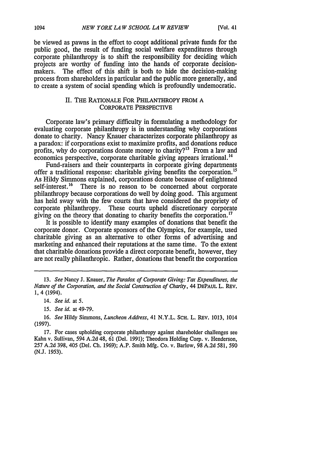be viewed as pawns in the effort to coopt additional private funds for the public good, the result of funding social welfare expenditures through corporate philanthropy is to shift the responsibility for deciding which projects are worthy of funding into the hands of corporate decisionmakers. The effect of this shift is both to hide the decision-making process from shareholders in particular and the public more generally, and to create a system of social spending which is profoundly undemocratic.

#### II. THE RATIONALE FOR PHILANTHROPY FROM A CORPORATE PERSPECTIVE

Corporate law's primary difficulty in formulating a methodology for evaluating corporate philanthropy is in understanding why corporations donate to charity. Nancy Knauer characterizes corporate philanthropy as a paradox: if corporations exist to maximize profits, and donations reduce profits, why do corporations donate money to charity?<sup>13</sup> From a law and economics perspective, corporate charitable giving appears irrational.<sup>14</sup>

Fund-raisers and their counterparts in corporate giving departments offer a traditional response: charitable giving benefits the corporation.<sup>15</sup> As Hildy Simmons explained, corporations donate because of enlightened self-interest.<sup>16</sup> There is no reason to be concerned about corporate philanthropy because corporations do well by doing good. This argument has held sway with the few courts that have considered the propriety of corporate philanthropy. These courts upheld discretionary corporate giving on the theory that donating to charity benefits the corporation. $17$ 

It is possible to identify many examples of donations that benefit the corporate donor. Corporate sponsors of the Olympics, for example, used charitable giving as an alternative to other forms of advertising and marketing and enhanced their reputations at the same time. To the extent that charitable donations provide a direct corporate benefit, however, they are not really philanthropic. Rather, donations that benefit the corporation

<sup>13.</sup> *See* Nancy *I.* Knauer, *The Paradox of Corporate Giving: Tax Expenditures, the Nature of the Corporation, and the Social Construction of Charity,* 44 DEPAUL L. REv. 1, 4 (1994).

<sup>14.</sup> *See id. at* 5.

*<sup>15.</sup> See id.* at 49-79.

<sup>16.</sup> *See* Hildy Simmons, *Luncheon Address,* 41 N.Y.L. SCH. L. REv. 1013, 1014 (1997).

<sup>17.</sup> For cases upholding corporate philanthropy against shareholder challenges see Kahn v. Sullivan, 594 A.2d 48, 61 (Del. 1991); Theodora Holding Corp. v. Henderson, 257 A.2d 398, 405 (Del. Ch. 1969); A.P. Smith Mfg. Co. v. Barlow, 98 A.2d 581, 590 (N.J. 1953).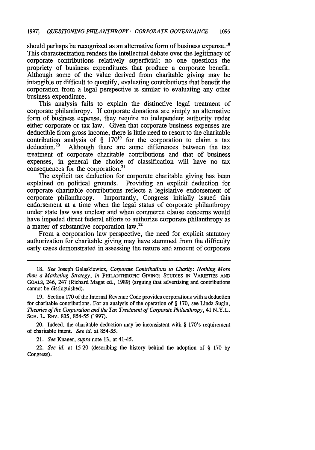should perhaps be recognized as an alternative form of business expense.<sup>18</sup> This characterization renders the intellectual debate over the legitimacy of corporate contributions relatively superficial; no one questions the propriety of business expenditures that produce a corporate benefit. Although some of the value derived from charitable giving may be intangible or difficult to quantify, evaluating contributions that benefit the corporation from a legal perspective is similar to evaluating any other business expenditure.

This analysis fails to explain the distinctive legal treatment of corporate philanthropy. If corporate donations are simply an alternative form of business expense, they require no independent authority under either corporate or tax law. Given that corporate business expenses are deductible from gross income, there is little need to resort to the charitable contribution analysis of  $\S$  170<sup>19</sup> for the corporation to claim a tax deduction.<sup>20</sup> Although there are some differences between the tax Although there are some differences between the tax treatment of corporate charitable contributions and that of business expenses, in general the choice of classification will have no tax consequences for the corporation.<sup>2</sup>

The explicit tax deduction for corporate charitable giving has been explained on political grounds. Providing an explicit deduction for corporate charitable contributions reflects a legislative endorsement of corporate philanthropy. Importantly, Congress initially issued this endorsement at a time when the legal status of corporate philanthropy under state law was unclear and when commerce clause concerns would have impeded direct federal efforts to authorize corporate philanthropy as a matter of substantive corporation law.<sup>22</sup>

From a corporation law perspective, the need for explicit statutory authorization for charitable giving may have stemmed from the difficulty early cases demonstrated in assessing the nature and amount of corporate

20. Indeed, the charitable deduction may be inconsistent with § 170's requirement of charitable intent. *See id.* at 854-55.

21. *See* Knauer, *supra* note 13, at 41-45.

22. *See id.* at 15-20 (describing the history behind the adoption of § 170 by Congress).

<sup>18.</sup> *See* Joseph Galaskiewicz, *Corporate Contributions to Charity: Nothing More than a Marketing Strategy, in* **PHILANTHROPIC GIVING:** STUDIES **IN** VARIETIES **AND** GoALS, 246, 247 (Richard Magat ed., 1989) (arguing that advertising and contributions cannot be distinguished).

<sup>19.</sup> Section 170 of the Internal Revenue Code provides corporations with a deduction for charitable contributions. For an analysis of the operation of § 170, see Linda Sugin, *Theories of the Corporation and the Tax Treatment of Corporate Philanthropy,* 41 N.Y.L. SCH. L. REV. 835, 854-55 (1997).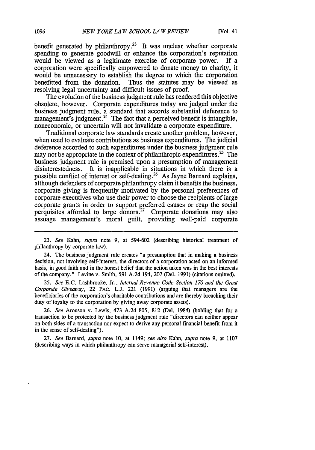benefit generated by philanthropy.<sup>23</sup> It was unclear whether corporate spending to generate goodwill or enhance the corporation's reputation would be viewed as a legitimate exercise of corporate power. If a corporation were specifically empowered to donate money to charity, it would be unnecessary to establish the degree to which the corporation benefitted from the donation. Thus the statutes may be viewed as Thus the statutes may be viewed as resolving legal uncertainty and difficult issues of proof.

The evolution of the business judgment rule has rendered this objective obsolete, however. Corporate expenditures today are judged under the business judgment rule, a standard that accords substantial deference to management's judgment.<sup>24</sup> The fact that a perceived benefit is intangible, noneconomic, or uncertain will not invalidate a corporate expenditure.

Traditional corporate law standards create another problem, however, when used to evaluate contributions as business expenditures. The judicial deference accorded to such expenditures under the business judgment rule may not be appropriate in the context of philanthropic expenditures.<sup>25</sup> The business judgment rule is premised upon a presumption of management disinterestedness. It is inapplicable in situations in which there is a possible conflict of interest or self-dealing.<sup>26</sup> As Jayne Barnard explains, although defenders of corporate philanthropy claim it benefits the business, corporate giving is frequently motivated by the personal preferences of corporate executives who use their power to choose the recipients of large corporate grants in order to support preferred causes or reap the social perquisites afforded to large donors.<sup>27</sup> Corporate donations may also assuage management's moral guilt, providing well-paid corporate

23. *See* Kahn, *supra* note **9,** at 594-602 (describing historical treatment of philanthropy by corporate law).

24. The business judgment rule creates "a presumption that in making a business decision, not involving self-interest, the directors of a corporation acted on an informed basis, in good faith and in the honest belief that the action taken was in the best interests of the company." Levine v. Smith, 591 A.2d 194, 207 (Del. 1991) (citations omitted).

*25. See* E.C. Lashbrooke, Jr., *Internal Revenue Code Section 170 and the Great Corporate Giveavay,* 22 PAC. L.J. 221 (1991) (arguing that managers are the beneficiaries of the corporation's charitable contributions and are thereby breaching their duty of loyalty to the corporation by giving away corporate assets).

26. *See* Aronson v. Lewis, 473 A.2d 805, 812 (Del. 1984) (holding that for a transaction to be protected by the business judgment rule "directors can neither appear on both sides of a transaction nor expect to derive any personal financial benefit from it in the sense of self-dealing").

27. *See* Barnard, *supra* note 10, at 1149; *see also* Kahn, *supra* note 9, at 1107 (describing ways in which philanthropy can serve managerial self-interest).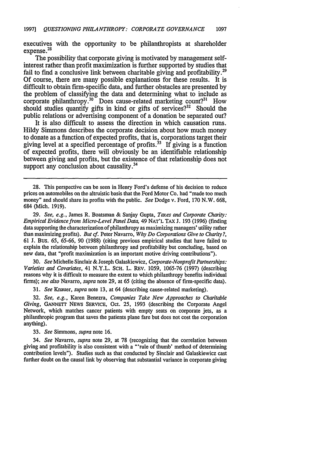executives with the opportunity to be philanthropists at shareholder expense.<sup>28</sup>

The possibility that corporate giving is motivated **by** management selfinterest rather than profit maximization is further supported **by** studies that fail to find a conclusive link between charitable giving and profitability.<sup>29</sup> **Of** course, there are many possible explanations for these results. It is difficult to obtain firm-specific data, and further obstacles are presented **by** the problem of classifying the data and determining what to include as corporate philanthropy.<sup>30</sup> Does cause-related marketing count?<sup>31</sup> How should studies quantify gifts in kind or gifts of services?<sup>32</sup> Should the public relations or advertising component of a donation be separated out?

It is also difficult to assess the direction in which causation runs. Hildy Simmons describes the corporate decision about how much money to donate as a function of expected profits, that is, corporations target their giving level at a specified percentage of profits.<sup>33</sup> If giving is a function of expected profits, there will obviously be an identifiable relationship between giving and profits, but the existence of that relationship does not support any conclusion about causality.<sup>34</sup>

**29.** *See, e.g.,* James R. Boatsman **&** Sanjay Gupta, *Taxes and Corporate Charity: Empirical Evidence from Micro-Level Panel Data,* 49 **NAT'L TAX J. 193 (1996)** (finding data supporting the characterization of philanthropy as maximizing managers' utility rather than maximizing profits). *But cf.* Peter Navarro, *Why Do Corporations Give to Charity?,* **61 J.** Bus. **65, 65-66, 90 (1988)** (citing previous empirical studies that have failed to explain the relationship between philanthropy and profitability but concluding, based on new data, that "profit maximization is an important motive driving contributions").

**30.** *See* Michelle Sinclair **&** Joseph Galaskiewicz, *Corporate-Nonprofit Partnerships: Varieties and Covariates,* 41 N.Y.L. **SCH.** L. **REV. 1059, 1065-76 (1997)** (describing reasons why it is difficult to measure the extent to which philanthropy benefits individual firms); *see also* Navarro, *supra* note **29,** at **65** (citing the absence of firm-specific data).

**31.** *See* Knauer, *supra* note **13,** at 64 (describing cause-related marketing).

**32.** *See, e.g.,* Karen Benezra, *Companies Take New Approaches to Charitable Giving,* GANNETT NEWs SERVICE, Oct. 25, 1993 (describing the Corporate Angel Network, which matches cancer patients with empty seats on corporate jets, as a philanthropic program that saves the patients plane fare but does not cost the corporation anything).

33. *See* Simmons, *supra* note 16.

34. *See* Navarro, *supra* note 29, at 78 (recognizing that the correlation between giving and profitability is also consistent with a "'rule of thumb' method of determining contribution levels"). Studies such as that conducted by Sinclair and Galaskiewicz cast further doubt on the causal link by observing that substantial variance in corporate giving

<sup>28.</sup> This perspective can be seen in Henry Ford's defense of his decision to reduce prices on automobiles on the altruistic basis that the Ford Motor Co. had "made too much money" and should share its profits with the public. *See* Dodge v. Ford, **170** N.W. **668,** 684 (Mich. **1919).**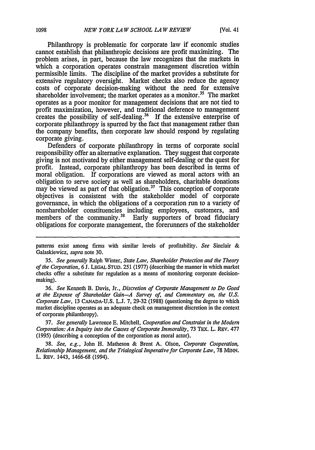Philanthropy is problematic for corporate law if economic studies cannot establish that philanthropic decisions are profit maximizing. The problem arises, in part, because the law recognizes that the markets in which a corporation operates constrain management discretion within permissible limits. The discipline of the market provides a substitute for extensive regulatory oversight. Market checks also reduce the agency costs of corporate decision-making without the need for extensive shareholder involvement; the market operates as a monitor.<sup>35</sup> The market operates as a poor monitor for management decisions that are not tied to profit maximization, however, and traditional deference to management creates the possibility of self-dealing.<sup>36</sup> If the extensive enterprise of corporate philanthropy is spurred by the fact that management rather than the company benefits, then corporate law should respond by regulating corporate giving.

Defenders of corporate philanthropy in terms of corporate social responsibility offer an alternative explanation. They suggest that corporate giving is not motivated by either management self-dealing or the quest for profit. Instead, corporate philanthropy has been described in terms of moral obligation. If corporations are viewed as moral actors with an obligation to serve society as well as shareholders, charitable donations may be viewed as part of that obligation.<sup>37</sup> This conception of corporate objectives is consistent with the stakeholder model of corporate governance, in which the obligations of a corporation run to a variety of nonshareholder constituencies including employees, customers, and members of the community.<sup>38</sup> Early supporters of broad fiduciary obligations for corporate management, the forerunners of the stakeholder

*35. See generally* Ralph Winter, *State Law, Shareholder Protection and the Theory of the Corporation,* 6 J. **LEGAL STUD.** 251 (1977) (describing the manner in which market checks offer a substitute for regulation as a means of monitoring corporate decisionmaking).

*36. See* Kenneth B. Davis, Jr., *Discretion of Corporate Management to Do Good at the Expense of Shareholder Gain-A Survey of, and Commentary on, the U.S. Corporate Lav,* 13 CANADA-U.S. L.J. 7, 29-32 (1988) (questioning the degree to which market discipline operates as an adequate check on management discretion in the context of corporate philanthropy).

37. *See generally* Lawrence E. Mitchell, *Cooperation and Constraint in the Modem Corporation: An Inquiry into the Causes of Corporate Immorality,* 73 **TEX.** L. REV. 477 (1995) (describing a conception of the corporation as moral actor).

38. *See, e.g.,* John H. Matheson & Brent A. Olson, *Corporate Cooperation, Relationship Management, and the Trialogical Imperative for Corporate Law,* 78 MINN. L. REV. 1443, **1466-68** (1994).

patterns exist among firms with similar levels of profitability. *See* Sinclair & Galaskiewicz, *supra* note 30.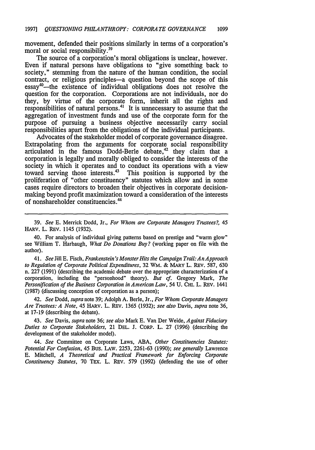movement, defended their positions similarly in terms of a corporation's moral or social responsibility.<sup>39</sup>

The source of a corporation's moral obligations is unclear, however. Even if natural persons have obligations to "give something back to society," stemming from the nature of the human condition, the social contract, or religious principles-a question beyond the scope of this  $\text{essay}^{40}$ -the existence of individual obligations does not resolve the question for the corporation. Corporations are not individuals, nor do they, **by** virtue of the corporate form, inherit all the rights and responsibilities of natural persons.<sup>41</sup> It is unnecessary to assume that the aggregation of investment funds and use of the corporate form for the purpose of pursuing a business objective necessarily carry social responsibilities apart from the obligations of the individual participants.

Advocates of the stakeholder model of corporate governance disagree. Extrapolating from the arguments for corporate social responsibility articulated in the famous Dodd-Berle debate,<sup>42</sup> they claim that a corporation is legally and morally obliged to consider the interests of the society in which it operates and to conduct its operations with a view toward serving those interests. 43 This position is supported **by** the proliferation of "other constituency" statutes which allow and in some cases require directors to broaden their objectives in corporate decisionmaking beyond profit maximization toward a consideration of the interests of nonshareholder constituencies.'

**39.** *See* **E.** Merrick Dodd, Jr., *For Whom are Corporate Managers Trustees?, 45* HARV. L. REv. 1145 **(1932).**

40. For analysis of individual giving patterns based on prestige and "warm glow" see William T. Harbaugh, *What Do Donations Buy?* (working paper on file with the author).

41. *See* Jill **E.** Fisch, *Frankenstein's Monster Hits the Campaign Trail: An Approach to Regulation of Corporate Political Expenditures,* **32 WM. &** MARY L. REV. **587, 630** n. **227** (1991) (describing the academic debate over the appropriate characterization of a corporation, including the "personhood" theory). *But cf.* Gregory Mark, *The Personification of the Business Corporation in American Law,* 54 **U.** CHI. L. REv. 1441 **(1987)** (discussing conception of corporation as a person);

42. *See* Dodd, *supra* note **39;** Adolph **A.** Berle, Jr., *For Whom Corporate Managers Are Trustees: A Note,* 45 **HARV. L.** REV. 1365 **(1932);** *see also* Davis, *supra* note **36,** at **17-19** (describing the debate).

43. *See* Davis, *supra* note **36;** *see also* Mark **E.** Van Der Weide, *Against Fiduciary Duties to Corporate Stakeholders,* 21 **DEL. J.** CORP. L. **27** (1996) (describing the development of the stakeholder model).

*44. See* Committee on Corporate Laws, **ABA,** *Other Constituencies Statutes: Potential For Confusion,* 45 Bus. LAW. **2253, 2261-63 (1990);** *see generally* Lawrence **E.** Mitchell, *A Theoretical and Practical Framework for Enforcing Corporate Constituency Statutes,* **70** TEx. L. REv. **579** (1992) (defending the use of other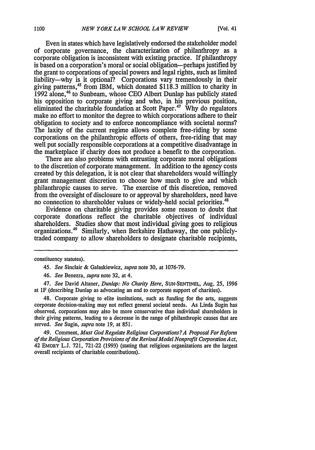Even in states which have legislatively endorsed the stakeholder model of corporate governance, the characterization of philanthropy as a corporate obligation is inconsistent with existing practice. If philanthropy is based on a corporation's moral or social obligation-perhaps justified by the grant to corporations of special powers and legal rights, such as limited liability-why is it optional? Corporations vary tremendously in their giving patterns,<sup>45</sup> from IBM, which donated \$118.3 million to charity in 1992 alone,<sup>46</sup> to Sunbeam, whose CEO Albert Dunlap has publicly stated his opposition to corporate giving and who, in his previous position, eliminated the charitable foundation at Scott Paper.<sup>47</sup> Why do regulators make no effort to monitor the degree to which corporations adhere to their obligation to society and to enforce noncompliance with societal norms? The laxity of the current regime allows complete free-riding by some corporations on the philanthropic efforts of others, free-riding that may well put socially responsible corporations at a competitive disadvantage in the marketplace if charity does not produce a benefit to the corporation.

There are also problems with entrusting corporate moral obligations to the discretion of corporate management. In addition to the agency costs created by this delegation, it is not clear that shareholders would willingly grant management discretion to choose how much to give and which philanthropic causes to serve. The exercise of this discretion, removed from the oversight of disclosure to or approval by shareholders, need have no connection to shareholder values or widely-held social priorities.<sup>4</sup>

Evidence on charitable giving provides some reason to doubt that corporate donations reflect the charitable objectives of individual shareholders. Studies show that most individual giving goes to religious organizations. 49 Similarly, when Berkshire Hathaway, the one publiclytraded company to allow shareholders to designate charitable recipients,

constituency statutes).

*45. See* Sinclair & Galaskiewicz, *supra* note 30, at 1076-79.

47. *See* David Altaner, *Dunlap: No Charity Here,* SUN-SENTINEL, Aug. 25, 1996 at IF (describing Dunlap as advocating an end to corporate support of charities).

48. Corporate giving to elite institutions, such as funding for the arts, suggests corporate decision-making may not reflect general societal needs. As Linda Sugin has observed, corporations may also be more conservative than individual shareholders in their giving patterns, leading to a decrease in the range of philanthropic causes that are served. *See* Sugin, *supra* note 19, at 851.

49. Comment, *Must God Regulate Religious Corporations? A Proposal For Reform of the Religious Corporation Provisions of the Revised Model Nonprofit Corporation A ct,* 42 EMORY L.J. 721, 721-22 (1993) (stating that religious organizations are the largest overall recipients of charitable contributions).

<sup>46.</sup> *See* Benezra, *supra* note 32, at 4.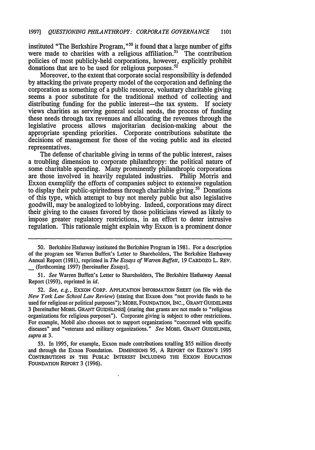instituted "The Berkshire Program,"<sup>50</sup> it found that a large number of gifts were made to charities with a religious affiliation.<sup>51</sup> The contribution policies of most publicly-held corporations, however, explicitly prohibit donations that are to be used for religious purposes. $52$ 

Moreover, to the extent that corporate social responsibility is defended by attacking the private property model of the corporation and defining the corporation as something of a public resource, voluntary charitable giving seems a poor substitute for the traditional method of collecting and distributing funding for the public interest—the tax system. If society views charities as serving general social needs, the process of funding these needs through tax revenues and allocating the revenues through the legislative process allows majoritarian decision-making about the appropriate spending priorities. Corporate contributions substitute the decisions of management for those of the voting public and its elected representatives.

The defense of charitable giving in terms of the public interest, raises a troubling dimension to corporate philanthropy: the political nature of some charitable spending. Many prominently philanthropic corporations are those involved in heavily regulated industries. Philip Morris and Exxon exemplify the efforts of companies subject to extensive regulation to display their public-spiritedness through charitable giving.<sup>53</sup> Donations of this type, which attempt to buy not merely public but also legislative goodwill, may be analogized to lobbying. Indeed, corporations may direct their giving to the causes favored by those politicians viewed as likely to impose greater regulatory restrictions, in an effort to deter intrusive regulation. This rationale might explain why Exxon is a prominent donor

51. *See* Warren Buffett's Letter to Shareholders, The Berkshire Hathaway Annual Report (1993), reprinted in *id.*

52. *See, e.g.,* **EXXON** CORP. APPLICATION INFORMATION **SHEET** (on file with the *New York Law School Law Review)* (stating that Exxon does "not provide funds to be used for religious or political purposes"); MOBIL FOUNDATION, **INC.,** GRANT **GUIDELINES** 3 [hereinafter MOBIL GRANT GUIDELINES] (stating that grants are not made to "religious organizations for religious purposes"). Corporate giving is subject to other restrictions. For example, Mobil also chooses not to support organizations "concerned with specific diseases" and "veterans and military organizations." *See* MOBIL **GRANT** GUIDELINES, *supra* at 3.

53. In 1995, for example, Exxon made contributions totalling \$55 million directly and through the Exxon Foundation. DIMENSIONS **95,** A REPORT **ON EXXON'S** 1995 CONTRIBUTIONS IN THE **PUBLIC** INTEREST **INCLUDING** THE EXXON EDUCATION FOUNDATION REPORT 3 (1996).

<sup>50.</sup> Berkshire Hathaway instituted the Berkshire Program in 1981. For a description of the program see Warren Buffett's Letter to Shareholders, The Berkshire Hathaway Annual Report (1981), reprinted in *The Essays of Warren Buffett,* 19 CARDOZO L. REV. (forthcoming 1997) [hereinafter *Essays].*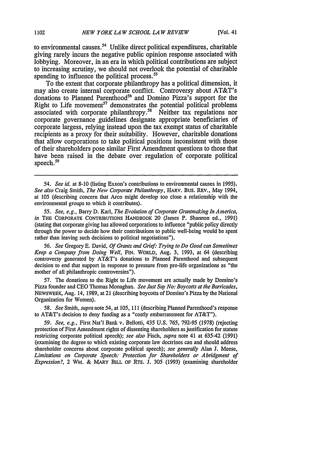to environmental causes.<sup>54</sup> Unlike direct political expenditures, charitable giving rarely incurs the negative public opinion response associated with lobbying. Moreover, in an era in which political contributions are subject to increasing scrutiny, we should not overlook the potential of charitable spending to influence the political process.<sup>55</sup>

To the extent that corporate philanthropy has a political dimension, it may also create internal corporate conflict. Controversy about AT&T's donations to Planned Parenthood<sup>56</sup> and Domino Pizza's support for the Right to Life movement<sup>57</sup> demonstrates the potential political problems associated with corporate philanthropy.<sup>58</sup> Neither tax regulations nor corporate governance guidelines designate appropriate beneficiaries of corporate largess, relying instead upon the tax exempt status of charitable recipients as a proxy for their suitability. However, charitable donations that allow corporations to take political positions inconsistent with those of their shareholders pose similar First Amendment questions to those that have been raised in the debate over regulation of corporate political speech. $59$ 

*54. See id.* at 8-10 (listing Exxon's contributions to environmental causes in 1995). *See also* Craig Smith, *The New Corporate Philanthropy,* HARv. Bus. REv., May 1994, at 105 (describing concern that Arco might develop too close a relationship with the environmental groups to which it contributes).

*55. See, e.g.,* Barry D. Karl, *The Evolution of Corporate Grantmating In America, in* THE CORPORATE CONTRIBUTIONs HANDBOOK 20 (James P. Shannon ed., 1991) (stating that corporate giving has allowed corporations to influence "public policy directly through the power to decide how their contributions to public well-being would be spent rather than leaving such decisions to political negotiations").

*56. See* Gregory E. David, *Of Grants and Grief: Trying to Do Good can Sometimes Keep a Company from Doing Well,* FIN. WORLD, Aug. 3, 1993, at 64 (describing controversy generated by AT&T's donations to Planned Parenthood and subsequent decision to end that support in response to pressure from pro-life organizations as "the mother of all philanthropic controversies").

57. The donations to the Right to Life movement are actually made by Domino's Pizza founder and CEO Thomas Monaghan. *See Just Say No: Boycotts* at *the Barricades,* NEWSWEEK, Aug. 14, 1989, at 21 (describing boycotts of Domino's Pizza by the National Organization for Women).

58. *See* Smith, *supra* note 54, at 105, 111 (describing Planned Parenthood's response to AT&T's decision to deny funding as a "costly embarrassment for AT&T").

59. *See, e.g.,* First Nat'l Bank v. Bellotti, 435 U.S. 765, 792-95 (1978) (rejecting protection of First Amendment rights of dissenting shareholders as justification for statute restricting corporate political speech); *see also* Fisch, *supra* note 41 at 635-42 (1991) (examining the degree to which existing corporate law doctrines can and should address shareholder concerns about corporate political speech); *see generally* Alan J. Meese, *Limitations on Corporate Speech: Protection for Shareholders or Abridgment of Expression?,* 2 WM. & MARY BILL OF RTS. J. 305 (1993) (examining shareholder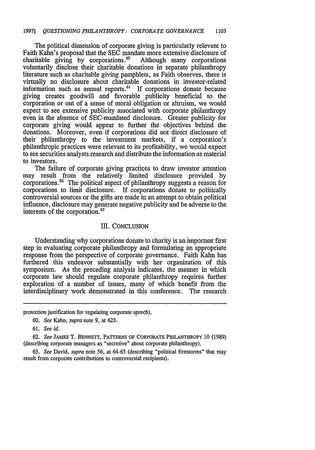The political dimension of corporate giving is particularly relevant to Faith Kahn's proposal that the SEC mandate more extensive disclosure of charitable giving by corporations.<sup>60</sup> Although many corporations charitable giving by corporations. $60$ voluntarily disclose their charitable donations in separate philanthropy literature such as charitable giving pamphlets, as Faith observes, there is virtually no disclosure about charitable donations in investor-related information such as annual reports.<sup>61</sup> If corporations donate because giving creates goodwill and favorable publicity beneficial to the corporation or out of a sense of moral obligation or altruism, we would expect to see extensive publicity associated with corporate philanthropy even in the absence of SEC-mandated disclosure. Greater publicity for corporate giving would appear to further the objectives behind the donations. Moreover, even if corporations did not direct disclosure of their philanthropy to the investment markets, if a corporation's philanthropic practices were relevant to its profitability, we would expect to see securities analysts research and distribute the information as material to investors.

The failure of corporate giving practices to draw investor attention may result from the relatively limited disclosure provided by corporations.<sup>62</sup> The political aspect of philanthropy suggests a reason for corporations to limit disclosure. If corporations donate to politically controversial sources or the gifts are made in an attempt to obtain political influence, disclosure may generate negative publicity and be adverse to the interests of the corporation. <sup>63</sup>

## III. CONCLUSION

Understanding why corporations donate to charity is an important first step in evaluating corporate philanthropy and formulating an appropriate response from the perspective of corporate governance. Faith Kahn has furthered this endeavor substantially with her organization of this symposium. As the preceding analysis indicates, the manner in which corporate law should regulate corporate philanthropy requires further exploration of a number of issues, many of which benefit from the interdisciplinary work demonstrated in this conference. The research

protection justification for regulating corporate speech).

<sup>60.</sup> *See* Kahn, supra note 9, at 623.

<sup>61.</sup> *See id.*

**<sup>62.</sup>** *See* JAMES T. BENNETT, PATTERNS **OF** CORPORATE PHILANTHROPY 10 (1989) (describing corporate managers as "secretive" about corporate philanthropy).

<sup>63.</sup> *See* David, *supra* note **56,** at **64-65** (describing "political firestorms" that may result from corporate contributions to controversial recipients).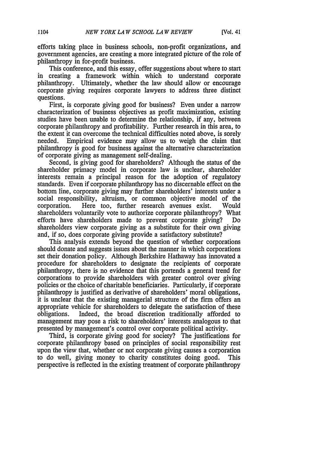efforts taking place in business schools, non-profit organizations, and government agencies, are creating a more integrated picture of the role of philanthropy in for-profit business.

This conference, and this essay, offer suggestions about where to start in creating a framework within which to understand corporate philanthropy. Ultimately, whether the law should allow or encourage corporate giving requires corporate lawyers to address three distinct questions.

First, is corporate giving good for business? Even under a narrow characterization of business objectives as profit maximization, existing studies have been unable to determine the relationship, if any, between corporate philanthropy and profitability. Further research in this area, to the extent it can overcome the technical difficulties noted above, is sorely needed. Empirical evidence may allow us to weigh the claim that philanthropy is good for business against the alternative characterization of corporate giving as management self-dealing.

Second, is giving good for shareholders? Although the status of the shareholder primacy model in corporate law is unclear, shareholder interests remain a principal reason for the adoption of regulatory standards. Even if corporate philanthropy has no discernable effect on the bottom line, corporate giving may further shareholders' interests under a social responsibility, altruism, or common objective model of the corporation. Here too, further research avenues exist. Would shareholders voluntarily vote to authorize corporate philanthropy? What efforts have shareholders made to prevent corporate giving? Do shareholders view corporate giving as a substitute for their own giving and, if so, does corporate giving provide a satisfactory substitute?

This analysis extends beyond the question of whether corporations should donate and suggests issues about the manner in which corporations set their donation policy. Although Berkshire Hathaway has innovated a procedure for shareholders to designate the recipients of corporate philanthropy, there is no evidence that this portends a general trend for corporations to provide shareholders with greater control over giving policies or the choice of charitable beneficiaries. Particularly, if corporate philanthropy is justified as derivative of shareholders' moral obligations, it is unclear that the existing managerial structure of the firm offers an appropriate vehicle for shareholders to delegate the satisfaction of these obligations. Indeed, the broad discretion traditionally afforded to management may pose a risk to shareholders' interests analogous to that presented by management's control over corporate political activity.

Third, is corporate giving good for society? The justifications for corporate philanthropy based on principles of social responsibility rest upon the view that, whether or not corporate giving causes a corporation to do well, giving money to charity constitutes doing good. This perspective is reflected in the existing treatment of corporate philanthropy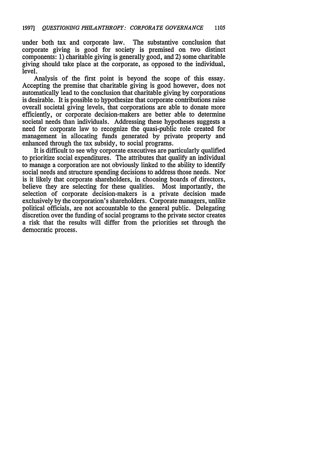under both tax and corporate law. The substantive conclusion that corporate giving is good for society is premised on two distinct components: 1) charitable giving is generally good, and 2) some charitable giving should take place at the corporate, as opposed to the individual, level.

Analysis of the first point is beyond the scope of this essay. Accepting the premise that charitable giving is good however, does not automatically lead to the conclusion that charitable giving **by** corporations is desirable. It is possible to hypothesize that corporate contributions raise overall societal giving levels, that corporations are able to donate more efficiently, or corporate decision-makers are better able to determine societal needs than individuals. Addressing these hypotheses suggests a need for corporate law to recognize the quasi-public role created for management in allocating funds generated **by** private property and enhanced through the tax subsidy, to social programs.

It is difficult to see why corporate executives are particularly qualified to prioritize social expenditures. The attributes that qualify an individual to manage a corporation are not obviously linked to the ability to identify social needs and structure spending decisions to address those needs. Nor is it likely that corporate shareholders, in choosing boards of directors, believe they are selecting for these qualities. Most importantly, the selection of corporate decision-makers is a private decision made exclusively **by** the corporation's shareholders. Corporate managers, unlike political officials, are not accountable to the general public. Delegating discretion over the funding of social programs to the private sector creates a risk that the results will differ from the priorities set through the democratic process.